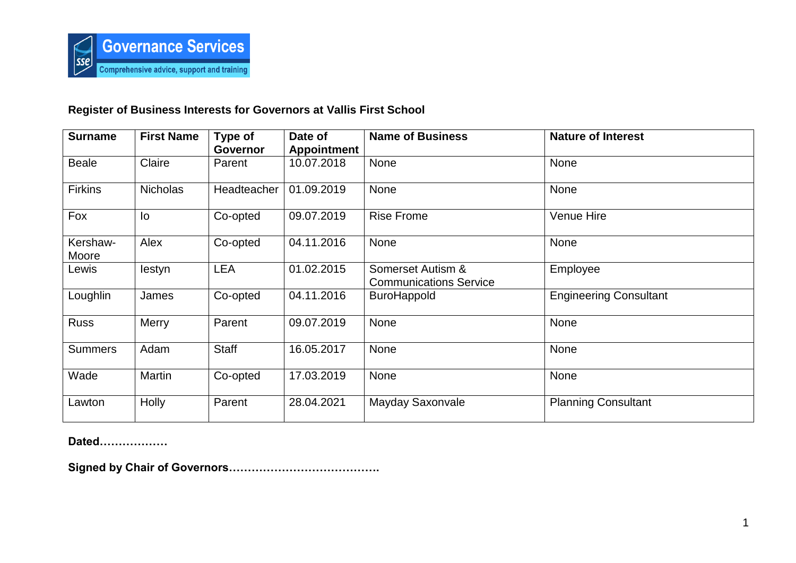

## **Register of Business Interests for Governors at Vallis First School**

| <b>Surname</b>    | <b>First Name</b> | Type of            | Date of            | <b>Name of Business</b>                            | <b>Nature of Interest</b>     |
|-------------------|-------------------|--------------------|--------------------|----------------------------------------------------|-------------------------------|
|                   |                   | <b>Governor</b>    | <b>Appointment</b> |                                                    |                               |
| <b>Beale</b>      | Claire            | Parent             | 10.07.2018         | <b>None</b>                                        | None                          |
| <b>Firkins</b>    | <b>Nicholas</b>   | <b>Headteacher</b> | 01.09.2019         | <b>None</b>                                        | <b>None</b>                   |
| Fox               | lo                | Co-opted           | 09.07.2019         | <b>Rise Frome</b>                                  | Venue Hire                    |
| Kershaw-<br>Moore | Alex              | Co-opted           | 04.11.2016         | None                                               | None                          |
| Lewis             | lestyn            | <b>LEA</b>         | 01.02.2015         | Somerset Autism &<br><b>Communications Service</b> | Employee                      |
| Loughlin          | James             | Co-opted           | 04.11.2016         | <b>BuroHappold</b>                                 | <b>Engineering Consultant</b> |
| <b>Russ</b>       | <b>Merry</b>      | Parent             | 09.07.2019         | <b>None</b>                                        | None                          |
| <b>Summers</b>    | Adam              | <b>Staff</b>       | 16.05.2017         | None                                               | <b>None</b>                   |
| Wade              | Martin            | Co-opted           | 17.03.2019         | None                                               | None                          |
| Lawton            | <b>Holly</b>      | Parent             | 28.04.2021         | Mayday Saxonvale                                   | <b>Planning Consultant</b>    |

**Dated………………**

**Signed by Chair of Governors………………………………….**